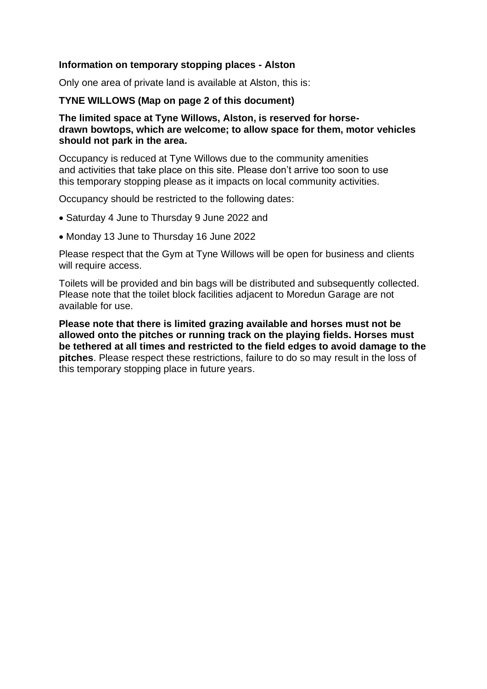## **Information on temporary stopping places - Alston**

Only one area of private land is available at Alston, this is:

## **TYNE WILLOWS (Map on page 2 of this document)**

## **The limited space at Tyne Willows, Alston, is reserved for horsedrawn bowtops, which are welcome; to allow space for them, motor vehicles should not park in the area.**

Occupancy is reduced at Tyne Willows due to the community amenities and activities that take place on this site. Please don't arrive too soon to use this temporary stopping please as it impacts on local community activities.

Occupancy should be restricted to the following dates:

- Saturday 4 June to Thursday 9 June 2022 and
- Monday 13 June to Thursday 16 June 2022

Please respect that the Gym at Tyne Willows will be open for business and clients will require access.

Toilets will be provided and bin bags will be distributed and subsequently collected. Please note that the toilet block facilities adjacent to Moredun Garage are not available for use.

**Please note that there is limited grazing available and horses must not be allowed onto the pitches or running track on the playing fields. Horses must be tethered at all times and restricted to the field edges to avoid damage to the pitches**. Please respect these restrictions, failure to do so may result in the loss of this temporary stopping place in future years.